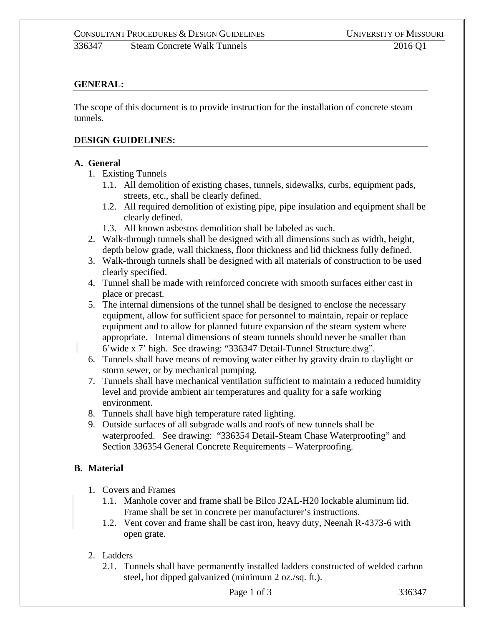336347 Steam Concrete Walk Tunnels 2016 Q1

# **GENERAL:**

The scope of this document is to provide instruction for the installation of concrete steam tunnels.

#### **DESIGN GUIDELINES:**

#### **A. General**

- 1. Existing Tunnels
	- 1.1. All demolition of existing chases, tunnels, sidewalks, curbs, equipment pads, streets, etc., shall be clearly defined.
	- 1.2. All required demolition of existing pipe, pipe insulation and equipment shall be clearly defined.
	- 1.3. All known asbestos demolition shall be labeled as such.
- 2. Walk-through tunnels shall be designed with all dimensions such as width, height, depth below grade, wall thickness, floor thickness and lid thickness fully defined.
- 3. Walk-through tunnels shall be designed with all materials of construction to be used clearly specified.
- 4. Tunnel shall be made with reinforced concrete with smooth surfaces either cast in place or precast.
- 5. The internal dimensions of the tunnel shall be designed to enclose the necessary equipment, allow for sufficient space for personnel to maintain, repair or replace equipment and to allow for planned future expansion of the steam system where appropriate. Internal dimensions of steam tunnels should never be smaller than 6'wide x 7' high. See drawing: "336347 Detail-Tunnel Structure.dwg".
- 6. Tunnels shall have means of removing water either by gravity drain to daylight or storm sewer, or by mechanical pumping.
- 7. Tunnels shall have mechanical ventilation sufficient to maintain a reduced humidity level and provide ambient air temperatures and quality for a safe working environment.
- 8. Tunnels shall have high temperature rated lighting.
- 9. Outside surfaces of all subgrade walls and roofs of new tunnels shall be waterproofed. See drawing: "336354 Detail-Steam Chase Waterproofing" and Section 336354 General Concrete Requirements – Waterproofing.

# **B. Material**

- 1. Covers and Frames
	- 1.1. Manhole cover and frame shall be Bilco J2AL-H20 lockable aluminum lid. Frame shall be set in concrete per manufacturer's instructions.
	- 1.2. Vent cover and frame shall be cast iron, heavy duty, Neenah R-4373-6 with open grate.

#### 2. Ladders

2.1. Tunnels shall have permanently installed ladders constructed of welded carbon steel, hot dipped galvanized (minimum 2 oz./sq. ft.).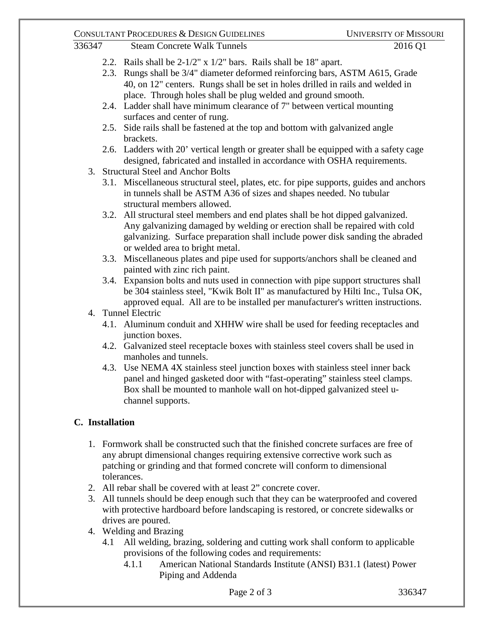## CONSULTANT PROCEDURES & DESIGN GUIDELINES UNIVERSITY OF MISSOURI

- 336347 Steam Concrete Walk Tunnels 2016 Q1
	- 2.2. Rails shall be 2-1/2" x 1/2" bars. Rails shall be 18" apart.
	- 2.3. Rungs shall be 3/4" diameter deformed reinforcing bars, ASTM A615, Grade 40, on 12" centers. Rungs shall be set in holes drilled in rails and welded in place. Through holes shall be plug welded and ground smooth.
	- 2.4. Ladder shall have minimum clearance of 7" between vertical mounting surfaces and center of rung.
	- 2.5. Side rails shall be fastened at the top and bottom with galvanized angle brackets.
	- 2.6. Ladders with 20' vertical length or greater shall be equipped with a safety cage designed, fabricated and installed in accordance with OSHA requirements.
	- 3. Structural Steel and Anchor Bolts
		- 3.1. Miscellaneous structural steel, plates, etc. for pipe supports, guides and anchors in tunnels shall be ASTM A36 of sizes and shapes needed. No tubular structural members allowed.
		- 3.2. All structural steel members and end plates shall be hot dipped galvanized. Any galvanizing damaged by welding or erection shall be repaired with cold galvanizing. Surface preparation shall include power disk sanding the abraded or welded area to bright metal.
		- 3.3. Miscellaneous plates and pipe used for supports/anchors shall be cleaned and painted with zinc rich paint.
		- 3.4. Expansion bolts and nuts used in connection with pipe support structures shall be 304 stainless steel, "Kwik Bolt II" as manufactured by Hilti Inc., Tulsa OK, approved equal. All are to be installed per manufacturer's written instructions.
	- 4. Tunnel Electric
		- 4.1. Aluminum conduit and XHHW wire shall be used for feeding receptacles and junction boxes.
		- 4.2. Galvanized steel receptacle boxes with stainless steel covers shall be used in manholes and tunnels.
		- 4.3. Use NEMA 4X stainless steel junction boxes with stainless steel inner back panel and hinged gasketed door with "fast-operating" stainless steel clamps. Box shall be mounted to manhole wall on hot-dipped galvanized steel uchannel supports.

# **C. Installation**

- 1. Formwork shall be constructed such that the finished concrete surfaces are free of any abrupt dimensional changes requiring extensive corrective work such as patching or grinding and that formed concrete will conform to dimensional tolerances.
- 2. All rebar shall be covered with at least 2" concrete cover.
- 3. All tunnels should be deep enough such that they can be waterproofed and covered with protective hardboard before landscaping is restored, or concrete sidewalks or drives are poured.
- 4. Welding and Brazing
	- 4.1 All welding, brazing, soldering and cutting work shall conform to applicable provisions of the following codes and requirements:
		- 4.1.1 American National Standards Institute (ANSI) B31.1 (latest) Power Piping and Addenda